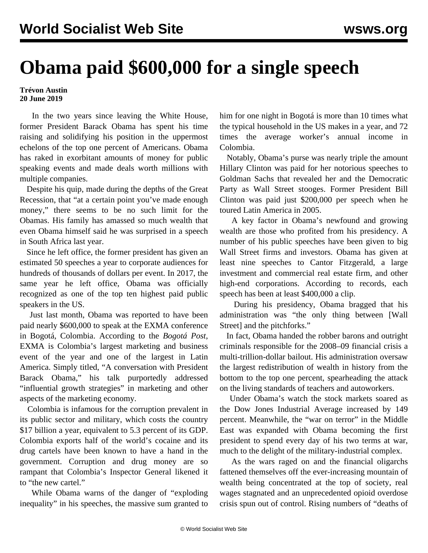## **Obama paid \$600,000 for a single speech**

## **Trévon Austin 20 June 2019**

 In the two years since leaving the White House, former President Barack Obama has spent his time raising and solidifying his position in the uppermost echelons of the top one percent of Americans. Obama has raked in exorbitant amounts of money for public speaking events and made deals worth millions with multiple companies.

 Despite his quip, made during the depths of the Great Recession, that "at a certain point you've made enough money," there seems to be no such limit for the Obamas. His family has amassed so much wealth that even Obama himself said he was surprised in a speech in South Africa last year.

 Since he left office, the former president has given an estimated 50 speeches a year to corporate audiences for hundreds of thousands of dollars per event. In 2017, the same year he left office, Obama was officially recognized as one of the top ten highest paid public speakers in the US.

 Just last month, Obama was reported to have been paid nearly \$600,000 to speak at the EXMA conference in Bogotá, Colombia. According to the *Bogotá Post*, EXMA is Colombia's largest marketing and business event of the year and one of the largest in Latin America. Simply titled, "A conversation with President Barack Obama," his talk purportedly addressed "influential growth strategies" in marketing and other aspects of the marketing economy.

 Colombia is infamous for the corruption prevalent in its public sector and military, which costs the country \$17 billion a year, equivalent to 5.3 percent of its GDP. Colombia exports half of the world's cocaine and its drug cartels have been known to have a hand in the government. Corruption and drug money are so rampant that Colombia's Inspector General likened it to "the new cartel."

 While Obama warns of the danger of "exploding inequality" in his speeches, the massive sum granted to him for one night in Bogotá is more than 10 times what the typical household in the US makes in a year, and 72 times the average worker's annual income in Colombia.

 Notably, Obama's purse was nearly triple the amount Hillary Clinton was paid for her notorious speeches to Goldman Sachs that revealed her and the Democratic Party as Wall Street stooges. Former President Bill Clinton was paid just \$200,000 per speech when he toured Latin America in 2005.

 A key factor in Obama's newfound and growing wealth are those who profited from his presidency. A number of his public speeches have been given to big Wall Street firms and investors. Obama has given at least nine speeches to Cantor Fitzgerald, a large investment and commercial real estate firm, and other high-end corporations. According to records, each speech has been at least \$400,000 a clip.

 During his presidency, Obama bragged that his administration was "the only thing between [Wall Street] and the pitchforks."

 In fact, Obama handed the robber barons and outright criminals responsible for the 2008–09 financial crisis a multi-trillion-dollar bailout. His administration oversaw the largest redistribution of wealth in history from the bottom to the top one percent, spearheading the attack on the living standards of teachers and autoworkers.

 Under Obama's watch the stock markets soared as the Dow Jones Industrial Average increased by 149 percent. Meanwhile, the "war on terror" in the Middle East was expanded with Obama becoming the first president to spend every day of his two terms at war, much to the delight of the military-industrial complex.

 As the wars raged on and the financial oligarchs fattened themselves off the ever-increasing mountain of wealth being concentrated at the top of society, real wages stagnated and an unprecedented opioid overdose crisis spun out of control. Rising numbers of "deaths of